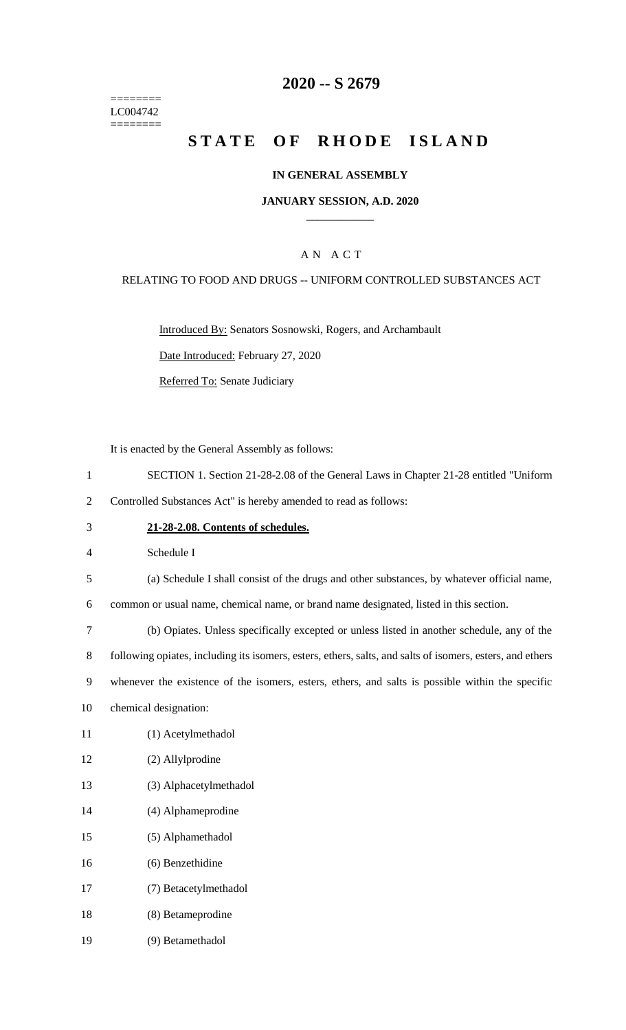======== LC004742 ========

# **-- S 2679**

# **STATE OF RHODE ISLAND**

### **IN GENERAL ASSEMBLY**

### **JANUARY SESSION, A.D. 2020 \_\_\_\_\_\_\_\_\_\_\_\_**

# A N A C T

### RELATING TO FOOD AND DRUGS -- UNIFORM CONTROLLED SUBSTANCES ACT

Introduced By: Senators Sosnowski, Rogers, and Archambault

Date Introduced: February 27, 2020

Referred To: Senate Judiciary

It is enacted by the General Assembly as follows:

- SECTION 1. Section 21-28-2.08 of the General Laws in Chapter 21-28 entitled "Uniform
- Controlled Substances Act" is hereby amended to read as follows:
- **21-28-2.08. Contents of schedules.**

Schedule I

(a) Schedule I shall consist of the drugs and other substances, by whatever official name,

common or usual name, chemical name, or brand name designated, listed in this section.

(b) Opiates. Unless specifically excepted or unless listed in another schedule, any of the

following opiates, including its isomers, esters, ethers, salts, and salts of isomers, esters, and ethers

whenever the existence of the isomers, esters, ethers, and salts is possible within the specific

- chemical designation:
- (1) Acetylmethadol
- (2) Allylprodine
- (3) Alphacetylmethadol
- (4) Alphameprodine
- (5) Alphamethadol
- (6) Benzethidine
- (7) Betacetylmethadol
- (8) Betameprodine
- (9) Betamethadol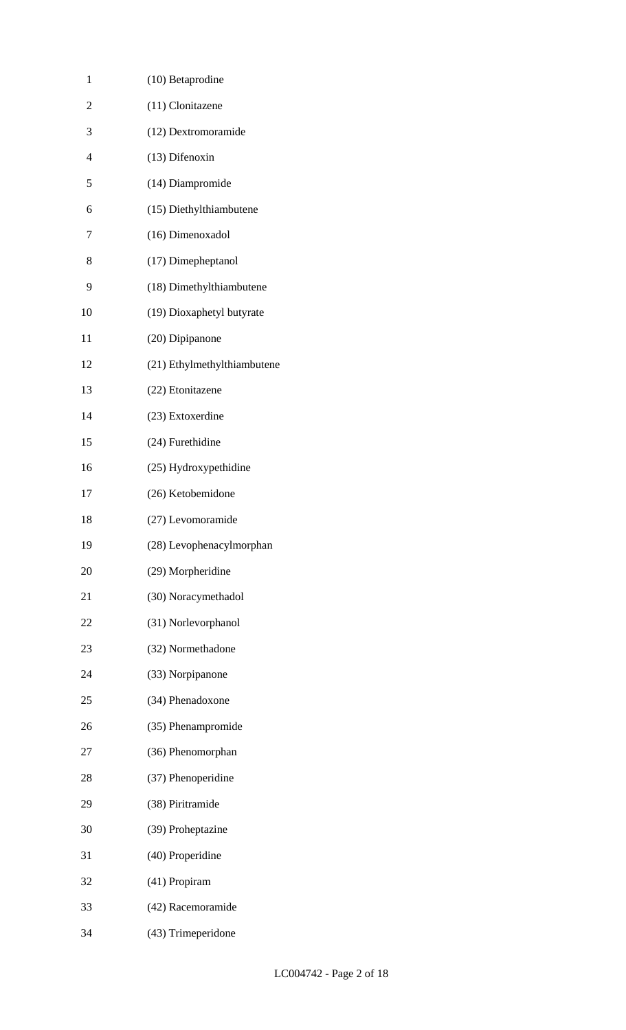| 1              | $(10)$ Betaprodine          |
|----------------|-----------------------------|
| $\overline{2}$ | (11) Clonitazene            |
| 3              | (12) Dextromoramide         |
| $\overline{4}$ | (13) Difenoxin              |
| 5              | (14) Diampromide            |
| 6              | (15) Diethylthiambutene     |
| 7              | (16) Dimenoxadol            |
| 8              | (17) Dimepheptanol          |
| 9              | (18) Dimethylthiambutene    |
| 10             | (19) Dioxaphetyl butyrate   |
| 11             | (20) Dipipanone             |
| 12             | (21) Ethylmethylthiambutene |
| 13             | (22) Etonitazene            |
| 14             | (23) Extoxerdine            |
| 15             | (24) Furethidine            |
| 16             | (25) Hydroxypethidine       |
| 17             | (26) Ketobemidone           |
| 18             | (27) Levomoramide           |
| 19             | (28) Levophenacylmorphan    |
| 20             | (29) Morpheridine           |
| 21             | (30) Noracymethadol         |
| 22             | (31) Norlevorphanol         |
| 23             | (32) Normethadone           |
| 24             | (33) Norpipanone            |
| 25             | (34) Phenadoxone            |
| 26             | (35) Phenampromide          |
| 27             | (36) Phenomorphan           |
| 28             | (37) Phenoperidine          |
| 29             | (38) Piritramide            |
| 30             | (39) Proheptazine           |
| 31             | (40) Properidine            |
| 32             | (41) Propiram               |
| 33             | (42) Racemoramide           |
| 34             | (43) Trimeperidone          |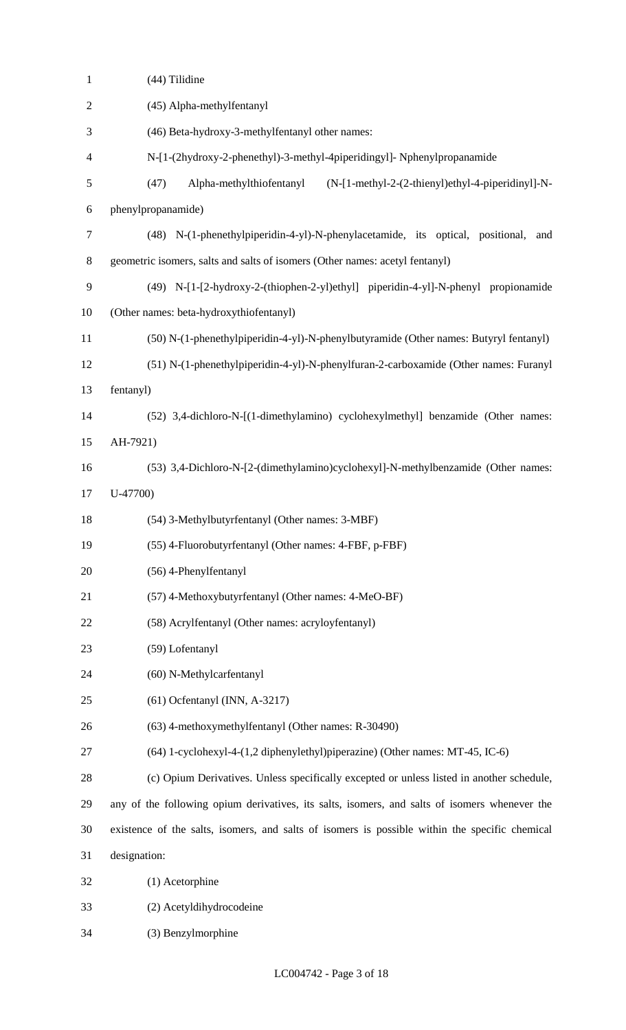| $\mathbf{1}$   | (44) Tilidine                                                                                  |
|----------------|------------------------------------------------------------------------------------------------|
| $\mathbf{2}$   | (45) Alpha-methylfentanyl                                                                      |
| 3              | (46) Beta-hydroxy-3-methylfentanyl other names:                                                |
| $\overline{4}$ | N-[1-(2hydroxy-2-phenethyl)-3-methyl-4piperidingyl]- Nphenylpropanamide                        |
| 5              | (47)<br>Alpha-methylthiofentanyl<br>(N-[1-methyl-2-(2-thienyl)ethyl-4-piperidinyl]-N-          |
| 6              | phenylpropanamide)                                                                             |
| $\tau$         | (48) N-(1-phenethylpiperidin-4-yl)-N-phenylacetamide, its optical, positional,<br>and          |
| 8              | geometric isomers, salts and salts of isomers (Other names: acetyl fentanyl)                   |
| 9              | (49) N-[1-[2-hydroxy-2-(thiophen-2-yl)ethyl] piperidin-4-yl]-N-phenyl propionamide             |
| 10             | (Other names: beta-hydroxythiofentanyl)                                                        |
| 11             | (50) N-(1-phenethylpiperidin-4-yl)-N-phenylbutyramide (Other names: Butyryl fentanyl)          |
| 12             | (51) N-(1-phenethylpiperidin-4-yl)-N-phenylfuran-2-carboxamide (Other names: Furanyl           |
| 13             | fentanyl)                                                                                      |
| 14             | (52) 3,4-dichloro-N-[(1-dimethylamino) cyclohexylmethyl] benzamide (Other names:               |
| 15             | AH-7921)                                                                                       |
| 16             | (53) 3,4-Dichloro-N-[2-(dimethylamino)cyclohexyl]-N-methylbenzamide (Other names:              |
| 17             | $U-47700$                                                                                      |
| 18             | (54) 3-Methylbutyrfentanyl (Other names: 3-MBF)                                                |
| 19             | (55) 4-Fluorobutyrfentanyl (Other names: 4-FBF, p-FBF)                                         |
| 20             | (56) 4-Phenylfentanyl                                                                          |
| 21             | (57) 4-Methoxybutyrfentanyl (Other names: 4-MeO-BF)                                            |
| 22             | (58) Acrylfentanyl (Other names: acryloyfentanyl)                                              |
| 23             | (59) Lofentanyl                                                                                |
| 24             | (60) N-Methylcarfentanyl                                                                       |
| 25             | $(61)$ Ocfentanyl (INN, A-3217)                                                                |
| 26             | (63) 4-methoxymethylfentanyl (Other names: R-30490)                                            |
| 27             | (64) 1-cyclohexyl-4-(1,2 diphenylethyl)piperazine) (Other names: MT-45, IC-6)                  |
| 28             | (c) Opium Derivatives. Unless specifically excepted or unless listed in another schedule,      |
| 29             | any of the following opium derivatives, its salts, isomers, and salts of isomers whenever the  |
| 30             | existence of the salts, isomers, and salts of isomers is possible within the specific chemical |
| 31             | designation:                                                                                   |
| 32             | (1) Acetorphine                                                                                |
| 33             | (2) Acetyldihydrocodeine                                                                       |
| 34             | (3) Benzylmorphine                                                                             |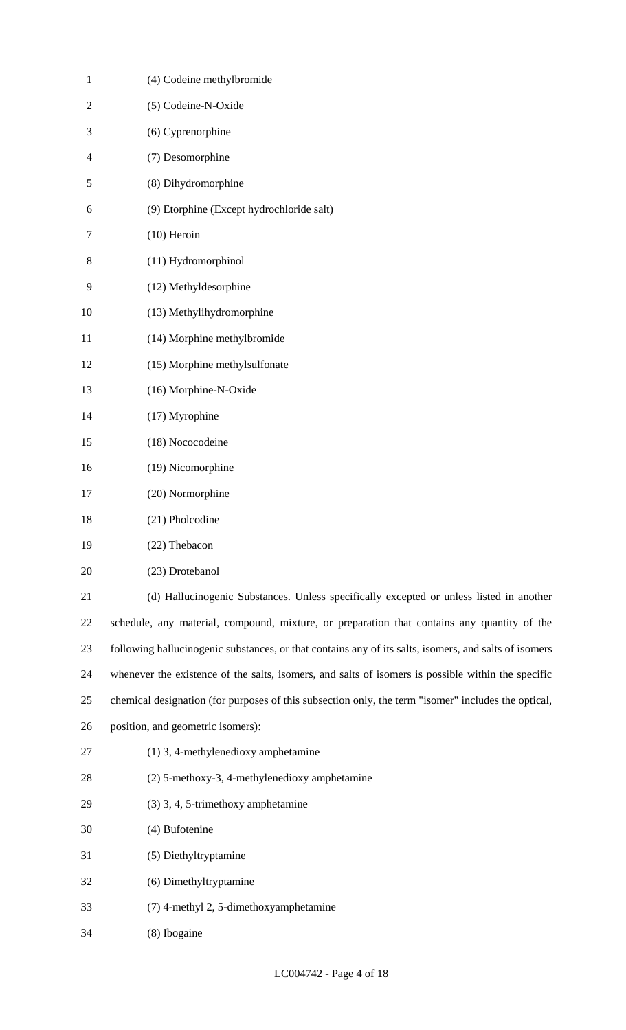| $\mathbf{1}$   | (4) Codeine methylbromide                                                                             |
|----------------|-------------------------------------------------------------------------------------------------------|
| $\overline{2}$ | (5) Codeine-N-Oxide                                                                                   |
| 3              | (6) Cyprenorphine                                                                                     |
| 4              | (7) Desomorphine                                                                                      |
| 5              | (8) Dihydromorphine                                                                                   |
| 6              | (9) Etorphine (Except hydrochloride salt)                                                             |
| 7              | $(10)$ Heroin                                                                                         |
| 8              | (11) Hydromorphinol                                                                                   |
| 9              | (12) Methyldesorphine                                                                                 |
| 10             | (13) Methylihydromorphine                                                                             |
| 11             | (14) Morphine methylbromide                                                                           |
| 12             | (15) Morphine methylsulfonate                                                                         |
| 13             | (16) Morphine-N-Oxide                                                                                 |
| 14             | (17) Myrophine                                                                                        |
| 15             | (18) Nococodeine                                                                                      |
| 16             | (19) Nicomorphine                                                                                     |
| 17             | (20) Normorphine                                                                                      |
| 18             | (21) Pholcodine                                                                                       |
| 19             | (22) Thebacon                                                                                         |
| 20             | (23) Drotebanol                                                                                       |
| 21             | (d) Hallucinogenic Substances. Unless specifically excepted or unless listed in another               |
| 22             | schedule, any material, compound, mixture, or preparation that contains any quantity of the           |
| 23             | following hallucinogenic substances, or that contains any of its salts, isomers, and salts of isomers |
| 24             | whenever the existence of the salts, isomers, and salts of isomers is possible within the specific    |
| 25             | chemical designation (for purposes of this subsection only, the term "isomer" includes the optical,   |
| 26             | position, and geometric isomers):                                                                     |
| 27             | $(1)$ 3, 4-methylenedioxy amphetamine                                                                 |
| 28             | (2) 5-methoxy-3, 4-methylenedioxy amphetamine                                                         |
| 29             | (3) 3, 4, 5-trimethoxy amphetamine                                                                    |
| 30             | (4) Bufotenine                                                                                        |
| 31             | (5) Diethyltryptamine                                                                                 |
| 32             | (6) Dimethyltryptamine                                                                                |
| 33             | (7) 4-methyl 2, 5-dimethoxyamphetamine                                                                |
| 34             | (8) Ibogaine                                                                                          |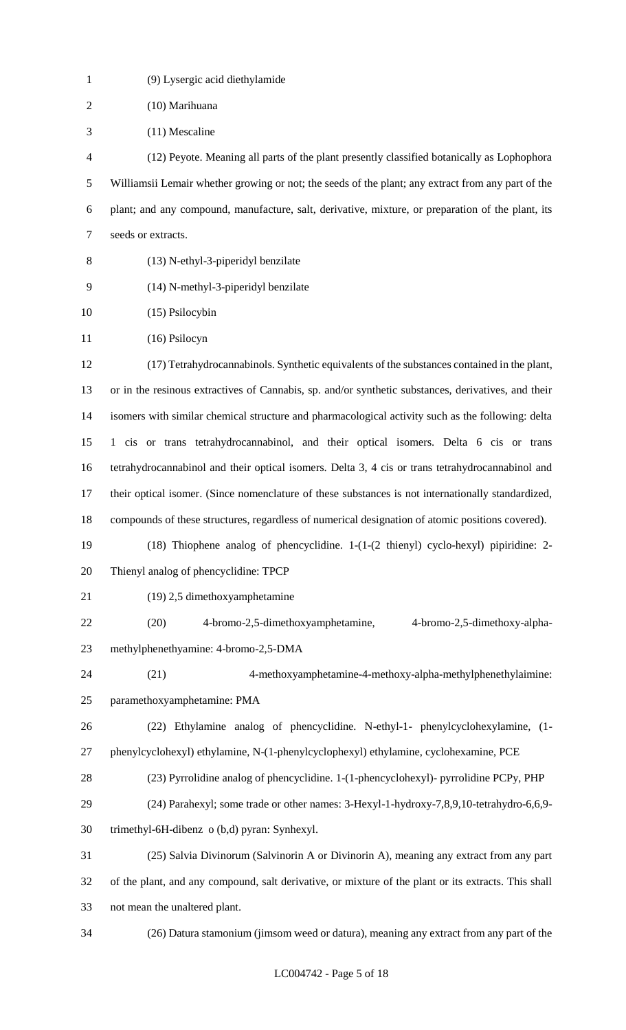| $\mathbf{1}$   | (9) Lysergic acid diethylamide                                                                                             |
|----------------|----------------------------------------------------------------------------------------------------------------------------|
| $\overline{2}$ | (10) Marihuana                                                                                                             |
| 3              | (11) Mescaline                                                                                                             |
| $\overline{4}$ | (12) Peyote. Meaning all parts of the plant presently classified botanically as Lophophora                                 |
| 5              | Williamsii Lemair whether growing or not; the seeds of the plant; any extract from any part of the                         |
| 6              | plant; and any compound, manufacture, salt, derivative, mixture, or preparation of the plant, its                          |
| $\tau$         | seeds or extracts.                                                                                                         |
| 8              | (13) N-ethyl-3-piperidyl benzilate                                                                                         |
| 9              | (14) N-methyl-3-piperidyl benzilate                                                                                        |
| 10             | (15) Psilocybin                                                                                                            |
| 11             | $(16)$ Psilocyn                                                                                                            |
| 12             | (17) Tetrahydrocannabinols. Synthetic equivalents of the substances contained in the plant,                                |
| 13             | or in the resinous extractives of Cannabis, sp. and/or synthetic substances, derivatives, and their                        |
| 14             | isomers with similar chemical structure and pharmacological activity such as the following: delta                          |
| 15             | 1 cis or trans tetrahydrocannabinol, and their optical isomers. Delta 6 cis or trans                                       |
| 16             | tetrahydrocannabinol and their optical isomers. Delta 3, 4 cis or trans tetrahydrocannabinol and                           |
| 17             | their optical isomer. (Since nomenclature of these substances is not internationally standardized,                         |
| 18             | compounds of these structures, regardless of numerical designation of atomic positions covered).                           |
| 19             | $(18)$ Thiophene analog of phencyclidine. $1-(1-(2 \thinspace \text{thing}) \thinspace \text{cyclo-hexyl})$ pipiridine: 2- |
| 20             | Thienyl analog of phencyclidine: TPCP                                                                                      |
| 21             | (19) 2,5 dimethoxyamphetamine                                                                                              |
| 22             | 4-bromo-2,5-dimethoxyamphetamine,<br>4-bromo-2,5-dimethoxy-alpha-<br>(20)                                                  |
| 23             | methylphenethyamine: 4-bromo-2,5-DMA                                                                                       |
| 24             | 4-methoxyamphetamine-4-methoxy-alpha-methylphenethylaimine:<br>(21)                                                        |
| 25             | paramethoxyamphetamine: PMA                                                                                                |
| 26             | (22) Ethylamine analog of phencyclidine. N-ethyl-1- phenylcyclohexylamine, (1-                                             |
| 27             | phenylcyclohexyl) ethylamine, N-(1-phenylcyclophexyl) ethylamine, cyclohexamine, PCE                                       |
| 28             | (23) Pyrrolidine analog of phencyclidine. 1-(1-phencyclohexyl)- pyrrolidine PCPy, PHP                                      |
| 29             | (24) Parahexyl; some trade or other names: 3-Hexyl-1-hydroxy-7,8,9,10-tetrahydro-6,6,9-                                    |
| 30             | trimethyl-6H-dibenz o (b,d) pyran: Synhexyl.                                                                               |
| 31             | (25) Salvia Divinorum (Salvinorin A or Divinorin A), meaning any extract from any part                                     |
| 32             | of the plant, and any compound, salt derivative, or mixture of the plant or its extracts. This shall                       |
| 33             | not mean the unaltered plant.                                                                                              |
| 34             | (26) Datura stamonium (jimsom weed or datura), meaning any extract from any part of the                                    |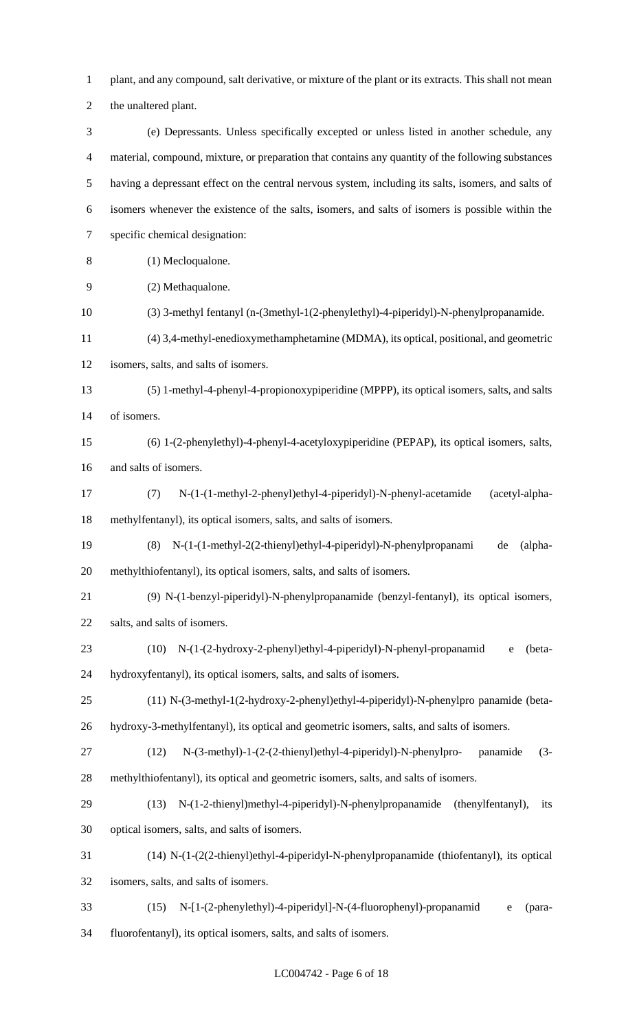plant, and any compound, salt derivative, or mixture of the plant or its extracts. This shall not mean

the unaltered plant.

 (e) Depressants. Unless specifically excepted or unless listed in another schedule, any material, compound, mixture, or preparation that contains any quantity of the following substances having a depressant effect on the central nervous system, including its salts, isomers, and salts of isomers whenever the existence of the salts, isomers, and salts of isomers is possible within the specific chemical designation: (1) Mecloqualone.

- (2) Methaqualone.
- (3) 3-methyl fentanyl (n-(3methyl-1(2-phenylethyl)-4-piperidyl)-N-phenylpropanamide.
- (4) 3,4-methyl-enedioxymethamphetamine (MDMA), its optical, positional, and geometric
- isomers, salts, and salts of isomers.

 (5) 1-methyl-4-phenyl-4-propionoxypiperidine (MPPP), its optical isomers, salts, and salts of isomers.

- (6) 1-(2-phenylethyl)-4-phenyl-4-acetyloxypiperidine (PEPAP), its optical isomers, salts, and salts of isomers.
- (7) N-(1-(1-methyl-2-phenyl)ethyl-4-piperidyl)-N-phenyl-acetamide (acetyl-alpha-methylfentanyl), its optical isomers, salts, and salts of isomers.
- (8) N-(1-(1-methyl-2(2-thienyl)ethyl-4-piperidyl)-N-phenylpropanami de (alpha-methylthiofentanyl), its optical isomers, salts, and salts of isomers.
- (9) N-(1-benzyl-piperidyl)-N-phenylpropanamide (benzyl-fentanyl), its optical isomers, salts, and salts of isomers.
- (10) N-(1-(2-hydroxy-2-phenyl)ethyl-4-piperidyl)-N-phenyl-propanamid e (beta-hydroxyfentanyl), its optical isomers, salts, and salts of isomers.
- (11) N-(3-methyl-1(2-hydroxy-2-phenyl)ethyl-4-piperidyl)-N-phenylpro panamide (beta-
- hydroxy-3-methylfentanyl), its optical and geometric isomers, salts, and salts of isomers.
- (12) N-(3-methyl)-1-(2-(2-thienyl)ethyl-4-piperidyl)-N-phenylpro- panamide (3- methylthiofentanyl), its optical and geometric isomers, salts, and salts of isomers.
- (13) N-(1-2-thienyl)methyl-4-piperidyl)-N-phenylpropanamide (thenylfentanyl), its optical isomers, salts, and salts of isomers.
- (14) N-(1-(2(2-thienyl)ethyl-4-piperidyl-N-phenylpropanamide (thiofentanyl), its optical

isomers, salts, and salts of isomers.

(15) N-[1-(2-phenylethyl)-4-piperidyl]-N-(4-fluorophenyl)-propanamid e (para-

fluorofentanyl), its optical isomers, salts, and salts of isomers.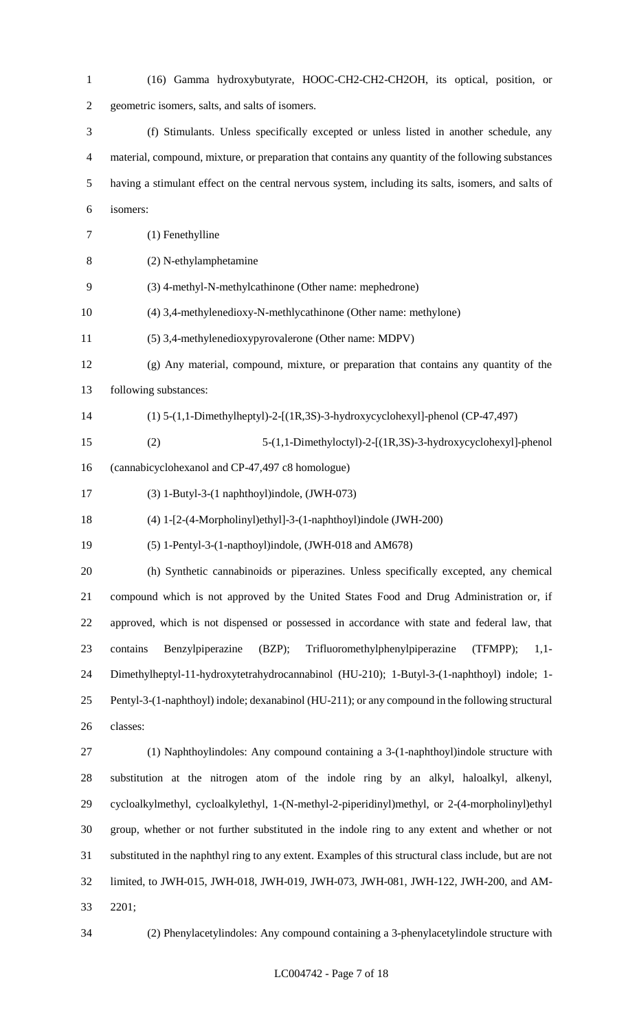(16) Gamma hydroxybutyrate, HOOC-CH2-CH2-CH2OH, its optical, position, or geometric isomers, salts, and salts of isomers. (f) Stimulants. Unless specifically excepted or unless listed in another schedule, any material, compound, mixture, or preparation that contains any quantity of the following substances having a stimulant effect on the central nervous system, including its salts, isomers, and salts of isomers: (1) Fenethylline (2) N-ethylamphetamine (3) 4-methyl-N-methylcathinone (Other name: mephedrone) (4) 3,4-methylenedioxy-N-methlycathinone (Other name: methylone) (5) 3,4-methylenedioxypyrovalerone (Other name: MDPV) (g) Any material, compound, mixture, or preparation that contains any quantity of the following substances: (1) 5-(1,1-Dimethylheptyl)-2-[(1R,3S)-3-hydroxycyclohexyl]-phenol (CP-47,497) (2) 5-(1,1-Dimethyloctyl)-2-[(1R,3S)-3-hydroxycyclohexyl]-phenol (cannabicyclohexanol and CP-47,497 c8 homologue) (3) 1-Butyl-3-(1 naphthoyl)indole, (JWH-073) (4) 1-[2-(4-Morpholinyl)ethyl]-3-(1-naphthoyl)indole (JWH-200) (5) 1-Pentyl-3-(1-napthoyl)indole, (JWH-018 and AM678) (h) Synthetic cannabinoids or piperazines. Unless specifically excepted, any chemical compound which is not approved by the United States Food and Drug Administration or, if approved, which is not dispensed or possessed in accordance with state and federal law, that contains Benzylpiperazine (BZP); Trifluoromethylphenylpiperazine (TFMPP); 1,1- Dimethylheptyl-11-hydroxytetrahydrocannabinol (HU-210); 1-Butyl-3-(1-naphthoyl) indole; 1- Pentyl-3-(1-naphthoyl) indole; dexanabinol (HU-211); or any compound in the following structural classes: (1) Naphthoylindoles: Any compound containing a 3-(1-naphthoyl)indole structure with substitution at the nitrogen atom of the indole ring by an alkyl, haloalkyl, alkenyl, cycloalkylmethyl, cycloalkylethyl, 1-(N-methyl-2-piperidinyl)methyl, or 2-(4-morpholinyl)ethyl group, whether or not further substituted in the indole ring to any extent and whether or not substituted in the naphthyl ring to any extent. Examples of this structural class include, but are not limited, to JWH-015, JWH-018, JWH-019, JWH-073, JWH-081, JWH-122, JWH-200, and AM-2201;

(2) Phenylacetylindoles: Any compound containing a 3-phenylacetylindole structure with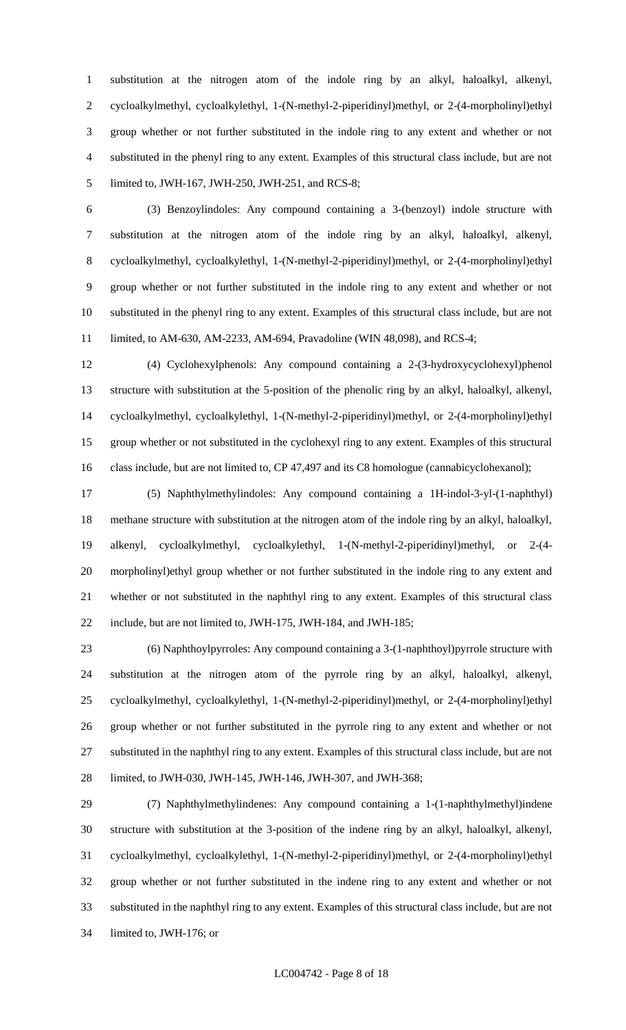substitution at the nitrogen atom of the indole ring by an alkyl, haloalkyl, alkenyl, cycloalkylmethyl, cycloalkylethyl, 1-(N-methyl-2-piperidinyl)methyl, or 2-(4-morpholinyl)ethyl group whether or not further substituted in the indole ring to any extent and whether or not substituted in the phenyl ring to any extent. Examples of this structural class include, but are not limited to, JWH-167, JWH-250, JWH-251, and RCS-8;

 (3) Benzoylindoles: Any compound containing a 3-(benzoyl) indole structure with substitution at the nitrogen atom of the indole ring by an alkyl, haloalkyl, alkenyl, cycloalkylmethyl, cycloalkylethyl, 1-(N-methyl-2-piperidinyl)methyl, or 2-(4-morpholinyl)ethyl group whether or not further substituted in the indole ring to any extent and whether or not substituted in the phenyl ring to any extent. Examples of this structural class include, but are not limited, to AM-630, AM-2233, AM-694, Pravadoline (WIN 48,098), and RCS-4;

 (4) Cyclohexylphenols: Any compound containing a 2-(3-hydroxycyclohexyl)phenol structure with substitution at the 5-position of the phenolic ring by an alkyl, haloalkyl, alkenyl, cycloalkylmethyl, cycloalkylethyl, 1-(N-methyl-2-piperidinyl)methyl, or 2-(4-morpholinyl)ethyl group whether or not substituted in the cyclohexyl ring to any extent. Examples of this structural 16 class include, but are not limited to, CP 47,497 and its C8 homologue (cannabicyclohexanol);

 (5) Naphthylmethylindoles: Any compound containing a 1H-indol-3-yl-(1-naphthyl) methane structure with substitution at the nitrogen atom of the indole ring by an alkyl, haloalkyl, alkenyl, cycloalkylmethyl, cycloalkylethyl, 1-(N-methyl-2-piperidinyl)methyl, or 2-(4- morpholinyl)ethyl group whether or not further substituted in the indole ring to any extent and whether or not substituted in the naphthyl ring to any extent. Examples of this structural class include, but are not limited to, JWH-175, JWH-184, and JWH-185;

 (6) Naphthoylpyrroles: Any compound containing a 3-(1-naphthoyl)pyrrole structure with substitution at the nitrogen atom of the pyrrole ring by an alkyl, haloalkyl, alkenyl, cycloalkylmethyl, cycloalkylethyl, 1-(N-methyl-2-piperidinyl)methyl, or 2-(4-morpholinyl)ethyl group whether or not further substituted in the pyrrole ring to any extent and whether or not substituted in the naphthyl ring to any extent. Examples of this structural class include, but are not limited, to JWH-030, JWH-145, JWH-146, JWH-307, and JWH-368;

 (7) Naphthylmethylindenes: Any compound containing a 1-(1-naphthylmethyl)indene structure with substitution at the 3-position of the indene ring by an alkyl, haloalkyl, alkenyl, cycloalkylmethyl, cycloalkylethyl, 1-(N-methyl-2-piperidinyl)methyl, or 2-(4-morpholinyl)ethyl group whether or not further substituted in the indene ring to any extent and whether or not substituted in the naphthyl ring to any extent. Examples of this structural class include, but are not limited to, JWH-176; or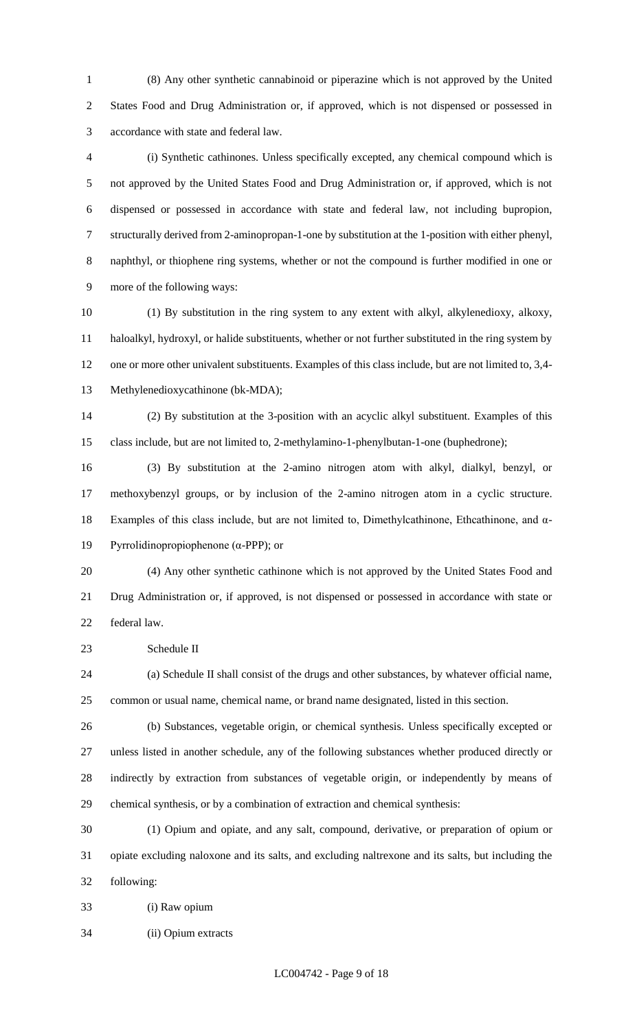(8) Any other synthetic cannabinoid or piperazine which is not approved by the United States Food and Drug Administration or, if approved, which is not dispensed or possessed in accordance with state and federal law.

 (i) Synthetic cathinones. Unless specifically excepted, any chemical compound which is not approved by the United States Food and Drug Administration or, if approved, which is not dispensed or possessed in accordance with state and federal law, not including bupropion, structurally derived from 2-aminopropan-1-one by substitution at the 1-position with either phenyl, naphthyl, or thiophene ring systems, whether or not the compound is further modified in one or more of the following ways:

 (1) By substitution in the ring system to any extent with alkyl, alkylenedioxy, alkoxy, haloalkyl, hydroxyl, or halide substituents, whether or not further substituted in the ring system by one or more other univalent substituents. Examples of this class include, but are not limited to, 3,4- Methylenedioxycathinone (bk-MDA);

 (2) By substitution at the 3-position with an acyclic alkyl substituent. Examples of this class include, but are not limited to, 2-methylamino-1-phenylbutan-1-one (buphedrone);

 (3) By substitution at the 2-amino nitrogen atom with alkyl, dialkyl, benzyl, or methoxybenzyl groups, or by inclusion of the 2-amino nitrogen atom in a cyclic structure. Examples of this class include, but are not limited to, Dimethylcathinone, Ethcathinone, and α-Pyrrolidinopropiophenone (α-PPP); or

 (4) Any other synthetic cathinone which is not approved by the United States Food and Drug Administration or, if approved, is not dispensed or possessed in accordance with state or federal law.

Schedule II

 (a) Schedule II shall consist of the drugs and other substances, by whatever official name, common or usual name, chemical name, or brand name designated, listed in this section.

 (b) Substances, vegetable origin, or chemical synthesis. Unless specifically excepted or unless listed in another schedule, any of the following substances whether produced directly or indirectly by extraction from substances of vegetable origin, or independently by means of chemical synthesis, or by a combination of extraction and chemical synthesis:

 (1) Opium and opiate, and any salt, compound, derivative, or preparation of opium or opiate excluding naloxone and its salts, and excluding naltrexone and its salts, but including the following:

(i) Raw opium

(ii) Opium extracts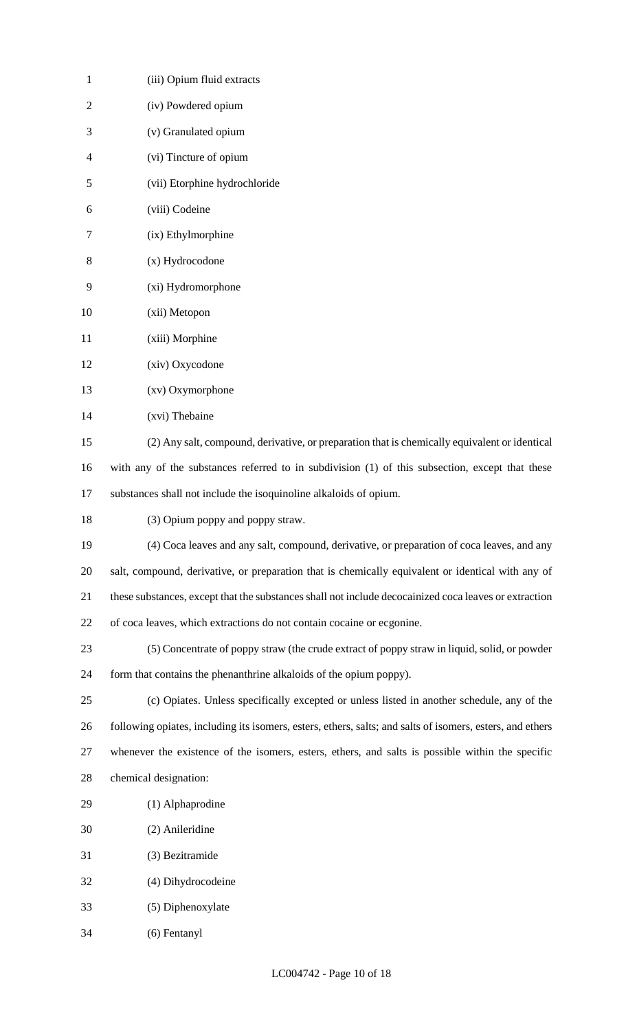| $\mathbf{1}$   | (iii) Opium fluid extracts                                                                                |
|----------------|-----------------------------------------------------------------------------------------------------------|
| $\overline{2}$ | (iv) Powdered opium                                                                                       |
| 3              | (v) Granulated opium                                                                                      |
| 4              | (vi) Tincture of opium                                                                                    |
| 5              | (vii) Etorphine hydrochloride                                                                             |
| 6              | (viii) Codeine                                                                                            |
| 7              | (ix) Ethylmorphine                                                                                        |
| 8              | (x) Hydrocodone                                                                                           |
| 9              | (xi) Hydromorphone                                                                                        |
| 10             | (xii) Metopon                                                                                             |
| 11             | (xiii) Morphine                                                                                           |
| 12             | (xiv) Oxycodone                                                                                           |
| 13             | (xv) Oxymorphone                                                                                          |
| 14             | (xvi) Thebaine                                                                                            |
| 15             | (2) Any salt, compound, derivative, or preparation that is chemically equivalent or identical             |
| 16             | with any of the substances referred to in subdivision (1) of this subsection, except that these           |
| 17             | substances shall not include the isoquinoline alkaloids of opium.                                         |
| 18             | (3) Opium poppy and poppy straw.                                                                          |
| 19             | (4) Coca leaves and any salt, compound, derivative, or preparation of coca leaves, and any                |
| 20             | salt, compound, derivative, or preparation that is chemically equivalent or identical with any of         |
| 21             | these substances, except that the substances shall not include decocainized coca leaves or extraction     |
| 22             | of coca leaves, which extractions do not contain cocaine or ecgonine.                                     |
| 23             | (5) Concentrate of poppy straw (the crude extract of poppy straw in liquid, solid, or powder              |
| 24             | form that contains the phenanthrine alkaloids of the opium poppy).                                        |
| 25             | (c) Opiates. Unless specifically excepted or unless listed in another schedule, any of the                |
| 26             | following opiates, including its isomers, esters, ethers, salts; and salts of isomers, esters, and ethers |
| 27             | whenever the existence of the isomers, esters, ethers, and salts is possible within the specific          |
| 28             | chemical designation:                                                                                     |
| 29             | (1) Alphaprodine                                                                                          |
| 30             | (2) Anileridine                                                                                           |
| 31             | (3) Bezitramide                                                                                           |
| 32             | (4) Dihydrocodeine                                                                                        |
| 33             | (5) Diphenoxylate                                                                                         |
| 34             | (6) Fentanyl                                                                                              |
|                |                                                                                                           |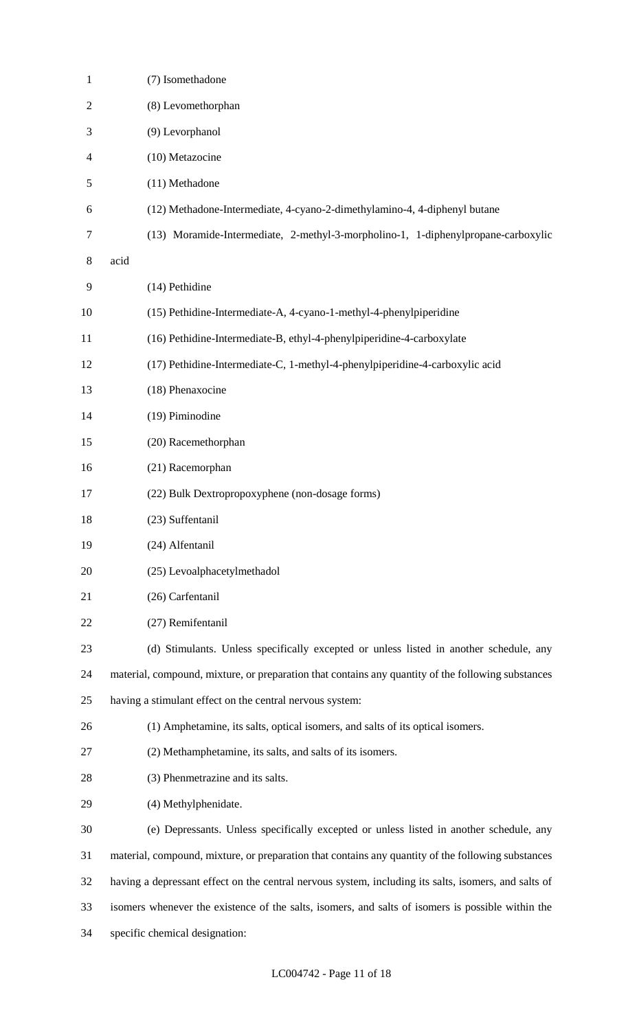| $\mathbf{1}$   | (7) Isomethadone                                                                                     |
|----------------|------------------------------------------------------------------------------------------------------|
| $\overline{c}$ | (8) Levomethorphan                                                                                   |
| 3              | (9) Levorphanol                                                                                      |
| $\overline{4}$ | (10) Metazocine                                                                                      |
| 5              | (11) Methadone                                                                                       |
| 6              | (12) Methadone-Intermediate, 4-cyano-2-dimethylamino-4, 4-diphenyl butane                            |
| 7              | (13) Moramide-Intermediate, 2-methyl-3-morpholino-1, 1-diphenylpropane-carboxylic                    |
| 8              | acid                                                                                                 |
| 9              | (14) Pethidine                                                                                       |
| 10             | (15) Pethidine-Intermediate-A, 4-cyano-1-methyl-4-phenylpiperidine                                   |
| 11             | (16) Pethidine-Intermediate-B, ethyl-4-phenylpiperidine-4-carboxylate                                |
| 12             | (17) Pethidine-Intermediate-C, 1-methyl-4-phenylpiperidine-4-carboxylic acid                         |
| 13             | (18) Phenaxocine                                                                                     |
| 14             | (19) Piminodine                                                                                      |
| 15             | (20) Racemethorphan                                                                                  |
| 16             | (21) Racemorphan                                                                                     |
| 17             | (22) Bulk Dextropropoxyphene (non-dosage forms)                                                      |
| 18             | (23) Suffentanil                                                                                     |
| 19             | (24) Alfentanil                                                                                      |
| 20             | (25) Levoalphacetylmethadol                                                                          |
| 21             | (26) Carfentanil                                                                                     |
| 22             | (27) Remifentanil                                                                                    |
| 23             | (d) Stimulants. Unless specifically excepted or unless listed in another schedule, any               |
| 24             | material, compound, mixture, or preparation that contains any quantity of the following substances   |
| 25             | having a stimulant effect on the central nervous system:                                             |
| 26             | (1) Amphetamine, its salts, optical isomers, and salts of its optical isomers.                       |
| 27             | (2) Methamphetamine, its salts, and salts of its isomers.                                            |
| 28             | (3) Phenmetrazine and its salts.                                                                     |
| 29             | (4) Methylphenidate.                                                                                 |
| 30             | (e) Depressants. Unless specifically excepted or unless listed in another schedule, any              |
| 31             | material, compound, mixture, or preparation that contains any quantity of the following substances   |
| 32             | having a depressant effect on the central nervous system, including its salts, isomers, and salts of |
| 33             | isomers whenever the existence of the salts, isomers, and salts of isomers is possible within the    |
| 34             | specific chemical designation:                                                                       |
|                |                                                                                                      |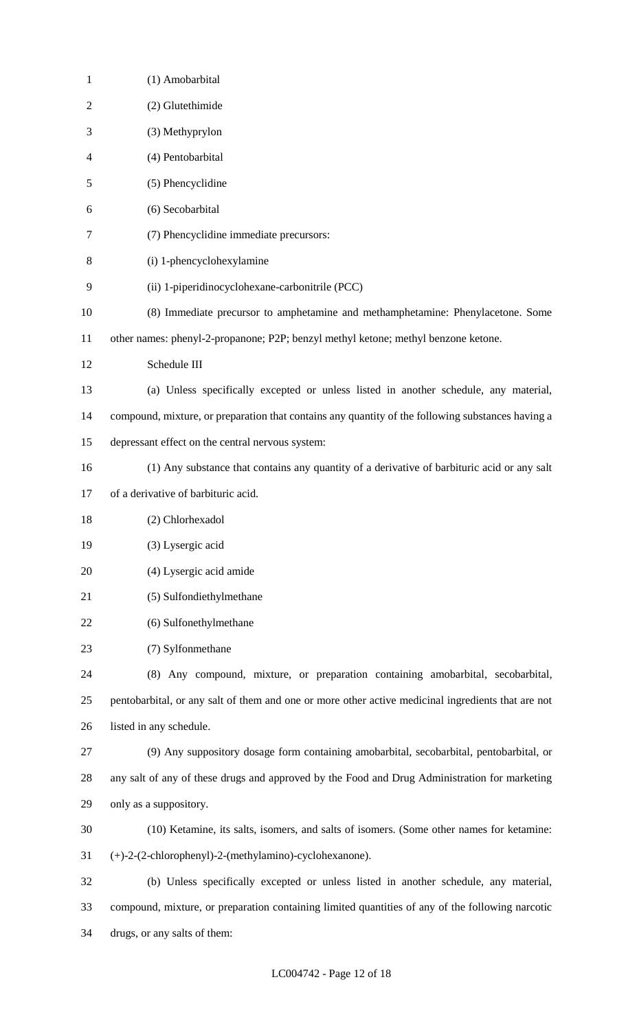| $\mathbf{1}$   | (1) Amobarbital                                                                                    |
|----------------|----------------------------------------------------------------------------------------------------|
| $\overline{2}$ | (2) Glutethimide                                                                                   |
| 3              | (3) Methyprylon                                                                                    |
| 4              | (4) Pentobarbital                                                                                  |
| 5              | (5) Phencyclidine                                                                                  |
| 6              | (6) Secobarbital                                                                                   |
| 7              | (7) Phencyclidine immediate precursors:                                                            |
| 8              | (i) 1-phencyclohexylamine                                                                          |
| 9              | (ii) 1-piperidinocyclohexane-carbonitrile (PCC)                                                    |
| 10             | (8) Immediate precursor to amphetamine and methamphetamine: Phenylacetone. Some                    |
| 11             | other names: phenyl-2-propanone; P2P; benzyl methyl ketone; methyl benzone ketone.                 |
| 12             | Schedule III                                                                                       |
| 13             | (a) Unless specifically excepted or unless listed in another schedule, any material,               |
| 14             | compound, mixture, or preparation that contains any quantity of the following substances having a  |
| 15             | depressant effect on the central nervous system:                                                   |
| 16             | (1) Any substance that contains any quantity of a derivative of barbituric acid or any salt        |
| 17             | of a derivative of barbituric acid.                                                                |
| 18             | (2) Chlorhexadol                                                                                   |
| 19             | (3) Lysergic acid                                                                                  |
| 20             | (4) Lysergic acid amide                                                                            |
| 21             | (5) Sulfondiethylmethane                                                                           |
| 22             | (6) Sulfonethylmethane                                                                             |
| 23             | (7) Sylfonmethane                                                                                  |
| 24             | (8) Any compound, mixture, or preparation containing amobarbital, secobarbital,                    |
| 25             | pentobarbital, or any salt of them and one or more other active medicinal ingredients that are not |
| 26             | listed in any schedule.                                                                            |
| 27             | (9) Any suppository dosage form containing amobarbital, secobarbital, pentobarbital, or            |
| 28             | any salt of any of these drugs and approved by the Food and Drug Administration for marketing      |
| 29             | only as a suppository.                                                                             |
| 30             | (10) Ketamine, its salts, isomers, and salts of isomers. (Some other names for ketamine:           |
| 31             | (+)-2-(2-chlorophenyl)-2-(methylamino)-cyclohexanone).                                             |
| 32             | (b) Unless specifically excepted or unless listed in another schedule, any material,               |
| 33             | compound, mixture, or preparation containing limited quantities of any of the following narcotic   |
| 34             | drugs, or any salts of them:                                                                       |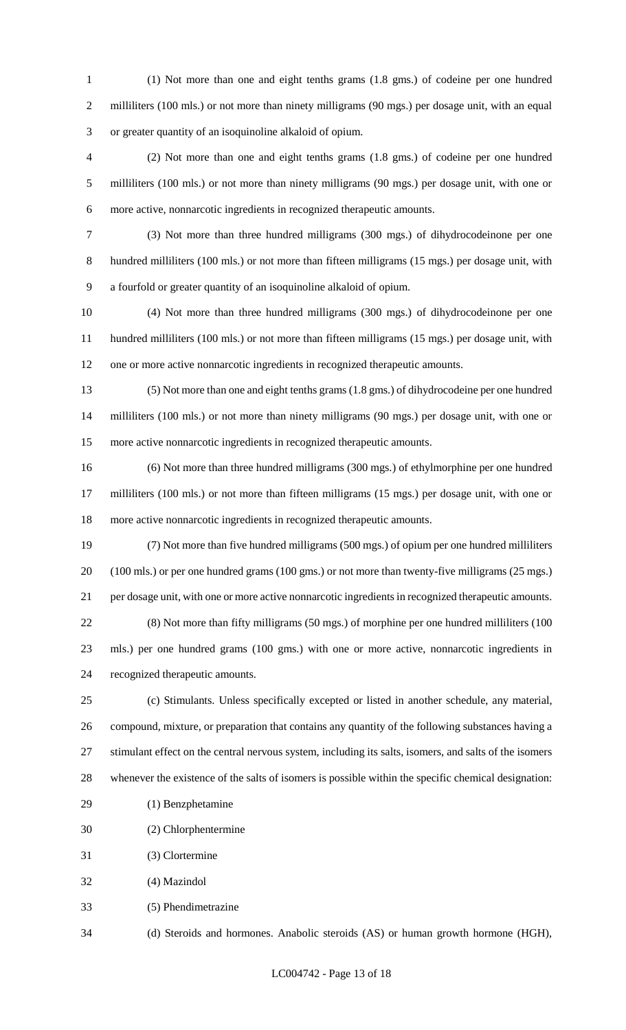(1) Not more than one and eight tenths grams (1.8 gms.) of codeine per one hundred 2 milliliters (100 mls.) or not more than ninety milligrams (90 mgs.) per dosage unit, with an equal or greater quantity of an isoquinoline alkaloid of opium.

 (2) Not more than one and eight tenths grams (1.8 gms.) of codeine per one hundred milliliters (100 mls.) or not more than ninety milligrams (90 mgs.) per dosage unit, with one or more active, nonnarcotic ingredients in recognized therapeutic amounts.

 (3) Not more than three hundred milligrams (300 mgs.) of dihydrocodeinone per one hundred milliliters (100 mls.) or not more than fifteen milligrams (15 mgs.) per dosage unit, with a fourfold or greater quantity of an isoquinoline alkaloid of opium.

 (4) Not more than three hundred milligrams (300 mgs.) of dihydrocodeinone per one hundred milliliters (100 mls.) or not more than fifteen milligrams (15 mgs.) per dosage unit, with one or more active nonnarcotic ingredients in recognized therapeutic amounts.

 (5) Not more than one and eight tenths grams (1.8 gms.) of dihydrocodeine per one hundred milliliters (100 mls.) or not more than ninety milligrams (90 mgs.) per dosage unit, with one or more active nonnarcotic ingredients in recognized therapeutic amounts.

 (6) Not more than three hundred milligrams (300 mgs.) of ethylmorphine per one hundred milliliters (100 mls.) or not more than fifteen milligrams (15 mgs.) per dosage unit, with one or more active nonnarcotic ingredients in recognized therapeutic amounts.

 (7) Not more than five hundred milligrams (500 mgs.) of opium per one hundred milliliters (100 mls.) or per one hundred grams (100 gms.) or not more than twenty-five milligrams (25 mgs.) per dosage unit, with one or more active nonnarcotic ingredients in recognized therapeutic amounts. (8) Not more than fifty milligrams (50 mgs.) of morphine per one hundred milliliters (100 mls.) per one hundred grams (100 gms.) with one or more active, nonnarcotic ingredients in recognized therapeutic amounts.

 (c) Stimulants. Unless specifically excepted or listed in another schedule, any material, compound, mixture, or preparation that contains any quantity of the following substances having a stimulant effect on the central nervous system, including its salts, isomers, and salts of the isomers whenever the existence of the salts of isomers is possible within the specific chemical designation:

- (1) Benzphetamine
- (2) Chlorphentermine
- (3) Clortermine
- (4) Mazindol
- (5) Phendimetrazine

(d) Steroids and hormones. Anabolic steroids (AS) or human growth hormone (HGH),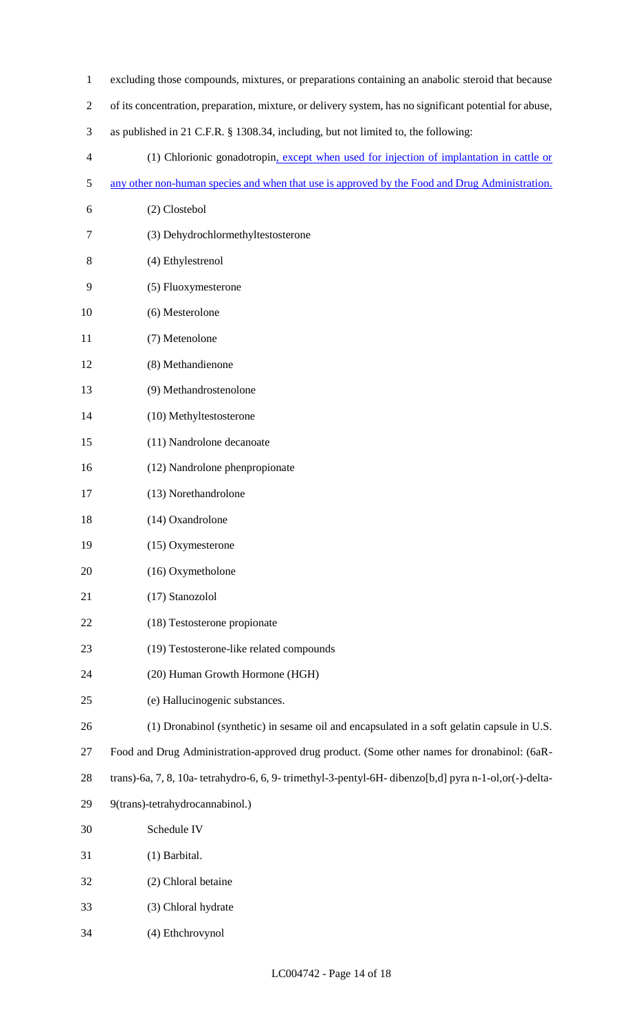| $\mathbf{1}$   | excluding those compounds, mixtures, or preparations containing an anabolic steroid that because        |
|----------------|---------------------------------------------------------------------------------------------------------|
| $\overline{2}$ | of its concentration, preparation, mixture, or delivery system, has no significant potential for abuse, |
| 3              | as published in 21 C.F.R. § 1308.34, including, but not limited to, the following:                      |
| 4              | (1) Chlorionic gonadotropin, except when used for injection of implantation in cattle or                |
| 5              | any other non-human species and when that use is approved by the Food and Drug Administration.          |
| 6              | (2) Clostebol                                                                                           |
| 7              | (3) Dehydrochlormethyltestosterone                                                                      |
| 8              | (4) Ethylestrenol                                                                                       |
| 9              | (5) Fluoxymesterone                                                                                     |
| 10             | (6) Mesterolone                                                                                         |
| 11             | (7) Metenolone                                                                                          |
| 12             | (8) Methandienone                                                                                       |
| 13             | (9) Methandrostenolone                                                                                  |
| 14             | (10) Methyltestosterone                                                                                 |
| 15             | (11) Nandrolone decanoate                                                                               |
| 16             | (12) Nandrolone phenpropionate                                                                          |
| 17             | (13) Norethandrolone                                                                                    |
| 18             | (14) Oxandrolone                                                                                        |
| 19             | (15) Oxymesterone                                                                                       |
| 20             | (16) Oxymetholone                                                                                       |
| 21             | (17) Stanozolol                                                                                         |
| 22             | (18) Testosterone propionate                                                                            |
| 23             | (19) Testosterone-like related compounds                                                                |
| 24             | (20) Human Growth Hormone (HGH)                                                                         |
| 25             | (e) Hallucinogenic substances.                                                                          |
| 26             | (1) Dronabinol (synthetic) in sesame oil and encapsulated in a soft gelatin capsule in U.S.             |
| 27             | Food and Drug Administration-approved drug product. (Some other names for dronabinol: (6aR-             |
| 28             | trans)-6a, 7, 8, 10a- tetrahydro-6, 6, 9- trimethyl-3-pentyl-6H- dibenzo[b,d] pyra n-1-ol,or(-)-delta-  |
| 29             | 9(trans)-tetrahydrocannabinol.)                                                                         |
| 30             | Schedule IV                                                                                             |
| 31             | (1) Barbital.                                                                                           |
| 32             | (2) Chloral betaine                                                                                     |
| 33             | (3) Chloral hydrate                                                                                     |
| 34             | (4) Ethchrovynol                                                                                        |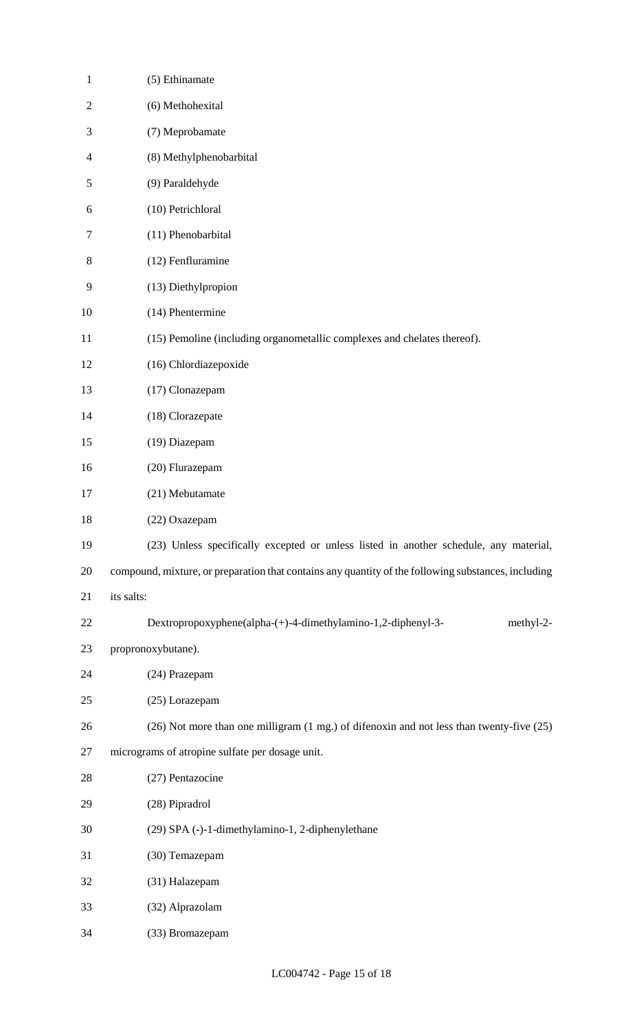| $\mathbf{1}$   | (5) Ethinamate                                                                                      |
|----------------|-----------------------------------------------------------------------------------------------------|
| $\mathfrak{2}$ | (6) Methohexital                                                                                    |
| 3              | (7) Meprobamate                                                                                     |
| 4              | (8) Methylphenobarbital                                                                             |
| 5              | (9) Paraldehyde                                                                                     |
| 6              | (10) Petrichloral                                                                                   |
| 7              | (11) Phenobarbital                                                                                  |
| 8              | (12) Fenfluramine                                                                                   |
| 9              | (13) Diethylpropion                                                                                 |
| 10             | (14) Phentermine                                                                                    |
| 11             | (15) Pemoline (including organometallic complexes and chelates thereof).                            |
| 12             | (16) Chlordiazepoxide                                                                               |
| 13             | (17) Clonazepam                                                                                     |
| 14             | (18) Clorazepate                                                                                    |
| 15             | (19) Diazepam                                                                                       |
| 16             | (20) Flurazepam                                                                                     |
| 17             | (21) Mebutamate                                                                                     |
| 18             | (22) Oxazepam                                                                                       |
| 19             | (23) Unless specifically excepted or unless listed in another schedule, any material,               |
| 20             | compound, mixture, or preparation that contains any quantity of the following substances, including |
| 21             | its salts:                                                                                          |
| 22             | Dextropropoxyphene(alpha-(+)-4-dimethylamino-1,2-diphenyl-3-<br>methyl-2-                           |
| 23             | propronoxybutane).                                                                                  |
| 24             | (24) Prazepam                                                                                       |
| 25             | (25) Lorazepam                                                                                      |
| 26             | (26) Not more than one milligram (1 mg.) of difenoxin and not less than twenty-five (25)            |
| 27             | micrograms of atropine sulfate per dosage unit.                                                     |
| 28             | (27) Pentazocine                                                                                    |
| 29             | (28) Pipradrol                                                                                      |
| 30             | (29) SPA (-)-1-dimethylamino-1, 2-diphenylethane                                                    |
| 31             | (30) Temazepam                                                                                      |
| 32             | (31) Halazepam                                                                                      |
| 33             | (32) Alprazolam                                                                                     |
| 34             | (33) Bromazepam                                                                                     |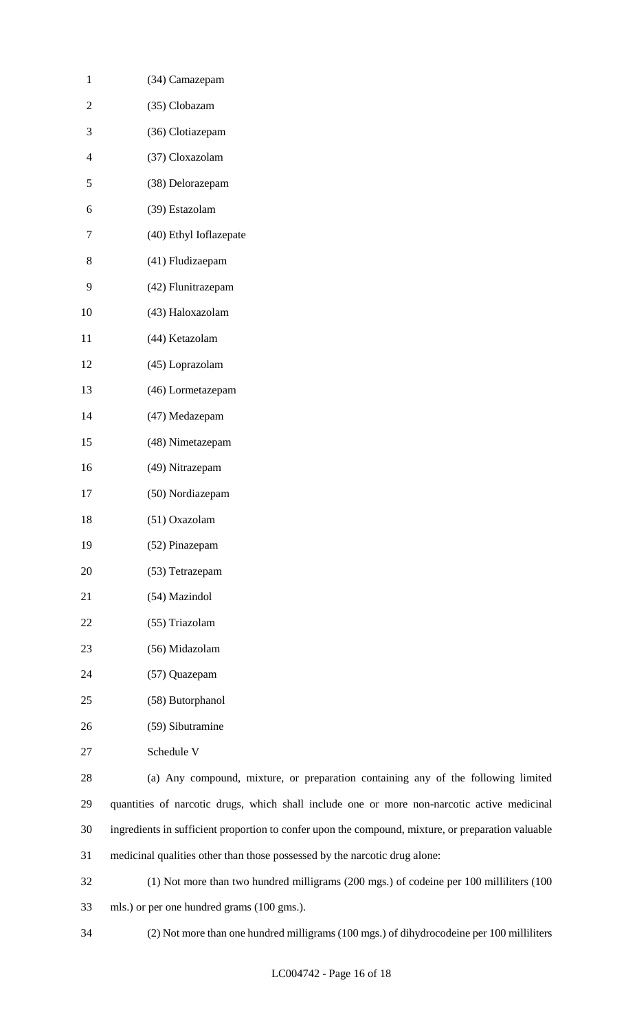| 1              | (34) Camazepam             |
|----------------|----------------------------|
| 2              | (35) Clobazam              |
| 3              | (36) Clotiazepam           |
| $\overline{4}$ | (37) Cloxazolam            |
| 5              | (38) Delorazepam           |
| 6              | (39) Estazolam             |
| 7              | (40) Ethyl Ioflazepate     |
| 8              | (41) Fludizaepam           |
| 9              | (42) Flunitrazepam         |
| 10             | (43) Haloxazolam           |
| 11             | (44) Ketazolam             |
| 12             | (45) Loprazolam            |
| 13             | (46) Lormetazepam          |
| 14             | (47) Medazepam             |
| 15             | (48) Nimetazepam           |
| 16             | (49) Nitrazepam            |
| 17             | (50) Nordiazepam           |
| 18             | (51) Oxazolam              |
| 19             | (52) Pinazepam             |
| 20             | (53) Tetrazepam            |
| 21             | (54) Mazindol              |
| 22             | (55) Triazolam             |
| 23             | (56) Midazolam             |
| 24             | (57) Quazepam              |
| 25             | (58) Butorphanol           |
| 26             | (59) Sibutramine           |
| 27             | Schedule V                 |
| 28             | (a) Any compound, mixture, |
|                |                            |

 (a) Any compound, mixture, or preparation containing any of the following limited quantities of narcotic drugs, which shall include one or more non-narcotic active medicinal ingredients in sufficient proportion to confer upon the compound, mixture, or preparation valuable medicinal qualities other than those possessed by the narcotic drug alone:

 (1) Not more than two hundred milligrams (200 mgs.) of codeine per 100 milliliters (100 mls.) or per one hundred grams (100 gms.).

(2) Not more than one hundred milligrams (100 mgs.) of dihydrocodeine per 100 milliliters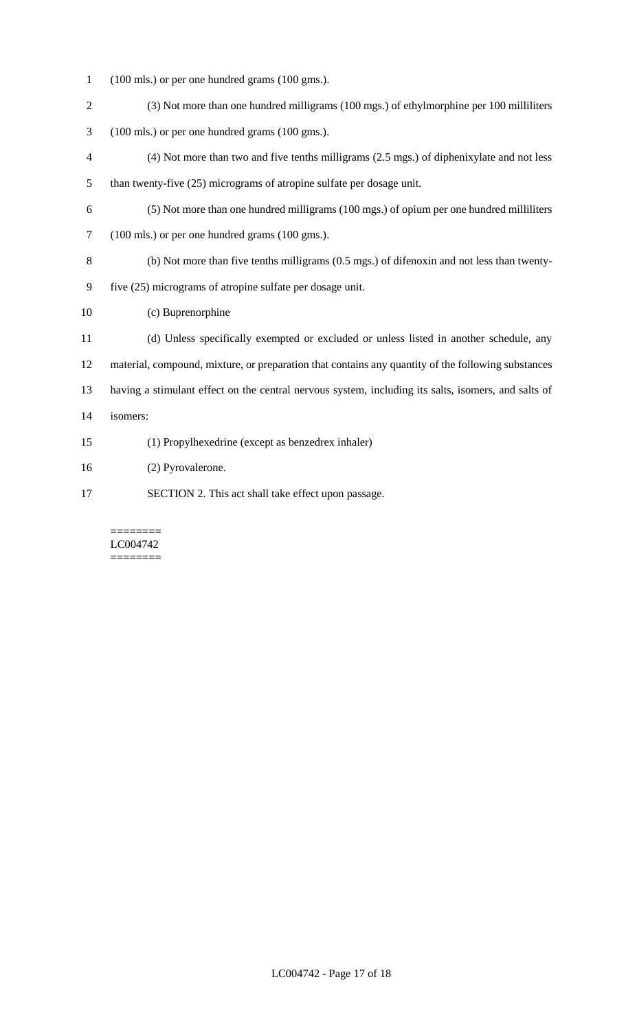- (100 mls.) or per one hundred grams (100 gms.).
- (3) Not more than one hundred milligrams (100 mgs.) of ethylmorphine per 100 milliliters
- (100 mls.) or per one hundred grams (100 gms.).
- (4) Not more than two and five tenths milligrams (2.5 mgs.) of diphenixylate and not less than twenty-five (25) micrograms of atropine sulfate per dosage unit.
- (5) Not more than one hundred milligrams (100 mgs.) of opium per one hundred milliliters (100 mls.) or per one hundred grams (100 gms.).
- (b) Not more than five tenths milligrams (0.5 mgs.) of difenoxin and not less than twenty-
- five (25) micrograms of atropine sulfate per dosage unit.
- (c) Buprenorphine
- (d) Unless specifically exempted or excluded or unless listed in another schedule, any material, compound, mixture, or preparation that contains any quantity of the following substances having a stimulant effect on the central nervous system, including its salts, isomers, and salts of isomers:
- (1) Propylhexedrine (except as benzedrex inhaler)
- (2) Pyrovalerone.
- SECTION 2. This act shall take effect upon passage.

#### ======== LC004742 ========